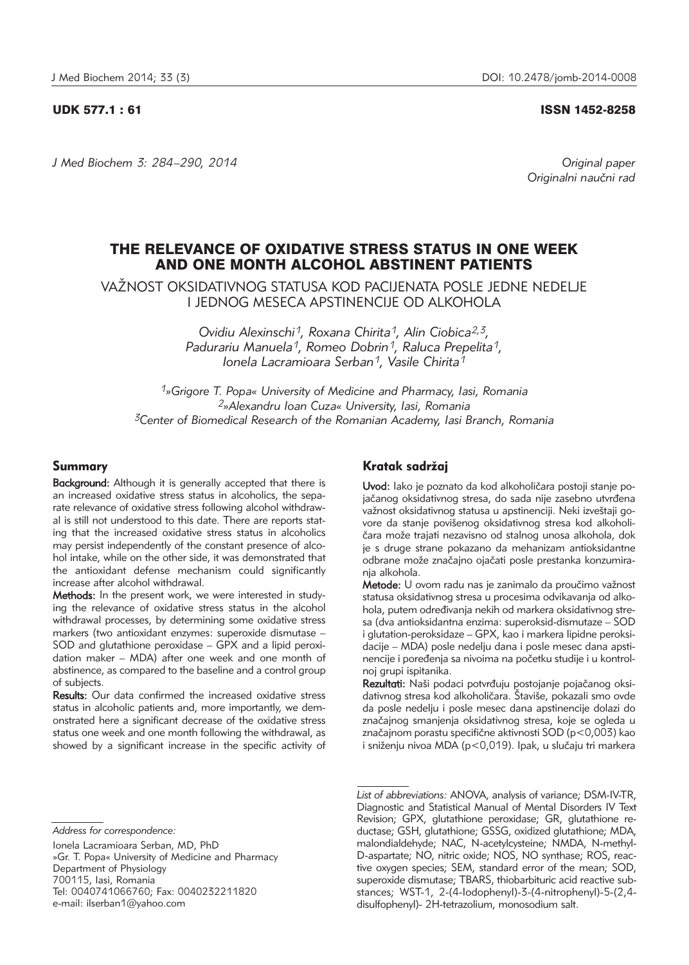#### UDK 577.1 : 61 ISSN 1452-8258

*J Med Biochem 3: 284–290, 2014 Original paper*

Originalni naučni rad

# THE RELEVANCE OF OXIDATIVE STRESS STATUS IN ONE WEEK AND ONE MONTH ALCOHOL ABSTINENT PATIENTS

VAŽNOST OKSIDATIVNOG STATUSA KOD PACIJENATA POSLE JEDNE NEDELJE I JEDNOG MESECA APSTINENCIJE OD ALKOHOLA

> *Ovidiu Alexinschi1, Roxana Chirita1, Alin Ciobica2,3, Padurariu Manuela1, Romeo Dobrin1, Raluca Prepelita1, Ionela Lacramioara Serban1, Vasile Chirita1*

*1»Grigore T. Popa« University of Medicine and Pharmacy, Iasi, Romania 2»Alexandru Ioan Cuza« University, Iasi, Romania 3Center of Biomedical Research of the Romanian Academy, Iasi Branch, Romania*

# Summary

Background: Although it is generally accepted that there is an increased oxidative stress status in alcoholics, the separate relevance of oxidative stress following alcohol withdrawal is still not understood to this date. There are reports stating that the increased oxidative stress status in alcoholics may persist independently of the constant presence of alcohol intake, while on the other side, it was demonstrated that the antioxidant defense mechanism could significantly increase after alcohol withdrawal.

Methods: In the present work, we were interested in studying the relevance of oxidative stress status in the alcohol withdrawal processes, by determining some oxidative stress markers (two antioxidant enzymes: superoxide dismutase – SOD and glutathione peroxidase – GPX and a lipid peroxidation maker – MDA) after one week and one month of abstinence, as compared to the baseline and a control group of subjects.

Results: Our data confirmed the increased oxidative stress status in alcoholic patients and, more importantly, we demonstrated here a significant decrease of the oxidative stress status one week and one month following the withdrawal, as showed by a significant increase in the specific activity of

Ionela Lacramioara Serban, MD, PhD »Gr. T. Popa« University of Medicine and Pharmacy Department of Physiology 700115, Iasi, Romania Tel: 0040741066760; Fax: 0040232211820 e-mail: ilserban1@yahoo.com

# Kratak sadržaj

Uvod: lako je poznato da kod alkoholičara postoji stanje pojačanog oksidativnog stresa, do sada nije zasebno utvrđena važnost oksidativnog statusa u apstinenciji. Neki izveštaji govore da stanje povišenog oksidativnog stresa kod alkoholičara može trajati nezavisno od stalnog unosa alkohola, dok je s druge strane pokazano da mehanizam antioksidantne odbrane može značajno ojačati posle prestanka konzumiranja alkohola.

Metode: U ovom radu nas je zanimalo da proučimo važnost statusa oksidativnog stresa u procesima odvikavanja od alkohola, putem određivanja nekih od markera oksidativnog stresa (dva antioksidantna enzima: superoksid-dismutaze – SOD i glutation-peroksidaze – GPX, kao i markera lipidne peroksidacije – MDA) posle nedelju dana i posle mesec dana apstinencije i poređenja sa nivoima na početku studije i u kontrolnoj grupi ispitanika.

Rezultati: Naši podaci potvrđuju postojanje pojačanog oksidativnog stresa kod alkoholičara. Štaviše, pokazali smo ovde da posle nedelju i posle mesec dana apstinencije dolazi do značajnog smanjenja oksidativnog stresa, koje se ogleda u značajnom porastu specifične aktivnosti SOD (p<0,003) kao i sniženju nivoa MDA (p<0,019). Ipak, u slučaju tri markera

*List of abbreviations:* ANOVA, analysis of variance; DSM-IV-TR, Diagnostic and Statistical Manual of Mental Disorders IV Text Revision; GPX, glutathione peroxidase; GR, glutathione reductase; GSH, glutathione; GSSG, oxidized glutathione; MDA, malondialdehyde; NAC, N-acetylcysteine; NMDA, N-methyl-D-aspartate; NO, nitric oxide; NOS, NO synthase; ROS, reactive oxygen species; SEM, standard error of the mean; SOD, superoxide dismutase; TBARS, thiobarbituric acid reactive substances; WST-1, 2-(4-Iodophenyl)-3-(4-nitrophenyl)-5-(2,4 disulfophenyl)- 2H-tetrazolium, monosodium salt.

*Address for correspondence:*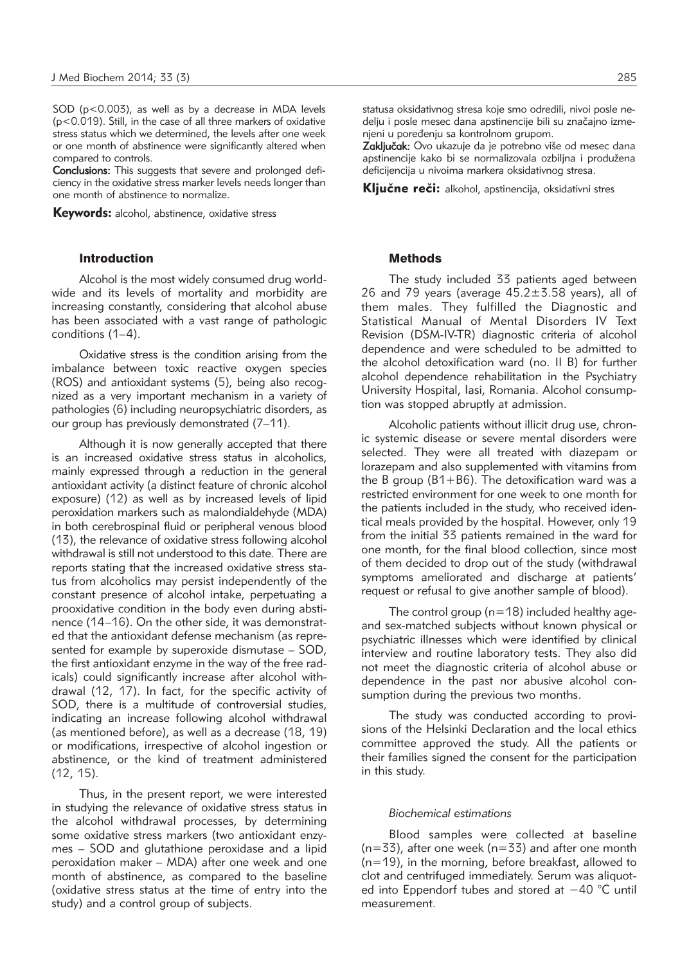SOD (p<0.003), as well as by a decrease in MDA levels (p<0.019). Still, in the case of all three markers of oxidative stress status which we determined, the levels after one week or one month of abstinence were significantly altered when compared to controls.

Conclusions: This suggests that severe and prolonged deficiency in the oxidative stress marker levels needs longer than one month of abstinence to normalize.

Keywords: alcohol, abstinence, oxidative stress

# Introduction

Alcohol is the most widely consumed drug worldwide and its levels of mortality and morbidity are increasing constantly, considering that alcohol abuse has been associated with a vast range of pathologic conditions (1–4).

Oxidative stress is the condition arising from the imbalance between toxic reactive oxygen species (ROS) and antioxidant systems (5), being also recognized as a very important mechanism in a variety of pathologies (6) including neuropsychiatric disorders, as our group has previously demonstrated (7–11).

Although it is now generally accepted that there is an increased oxidative stress status in alcoholics, mainly expressed through a reduction in the general antioxidant activity (a distinct feature of chronic alcohol exposure) (12) as well as by increased levels of lipid peroxidation markers such as malondialdehyde (MDA) in both cerebrospinal fluid or peripheral venous blood (13), the relevance of oxidative stress following alcohol withdrawal is still not understood to this date. There are reports stating that the increased oxidative stress status from alcoholics may persist independently of the constant presence of alcohol intake, perpetuating a prooxidative condition in the body even during abstinence (14–16). On the other side, it was demonstrated that the antioxidant defense mechanism (as represented for example by superoxide dismutase – SOD, the first antioxidant enzyme in the way of the free radicals) could significantly increase after alcohol withdrawal (12, 17). In fact, for the specific activity of SOD, there is a multitude of controversial studies, indicating an increase following alcohol withdrawal (as mentioned before), as well as a decrease (18, 19) or modifications, irrespective of alcohol ingestion or abstinence, or the kind of treatment administered (12, 15).

Thus, in the present report, we were interested in studying the relevance of oxidative stress status in the alcohol withdrawal processes, by determining some oxidative stress markers (two antioxidant enzymes – SOD and glutathione peroxidase and a lipid peroxidation maker – MDA) after one week and one month of abstinence, as compared to the baseline (oxidative stress status at the time of entry into the study) and a control group of subjects.

statusa oksidativnog stresa koje smo odredili, nivoi posle nedelju i posle mesec dana apstinencije bili su značajno izmenjeni u poređenju sa kontrolnom grupom.

Zaključak: Ovo ukazuje da je potrebno više od mesec dana apstinencije kako bi se normalizovala ozbiljna i produžena deficijencija u nivoima markera oksidativnog stresa.

Ključne reči: alkohol, apstinencija, oksidativni stres

### **Methods**

The study included 33 patients aged between 26 and 79 years (average  $45.2 \pm 3.58$  years), all of them males. They fulfilled the Diagnostic and Statistical Manual of Mental Disorders IV Text Revision (DSM-IV-TR) diagnostic criteria of alcohol dependence and were scheduled to be admitted to the alcohol detoxification ward (no. II B) for further alcohol dependence rehabilitation in the Psychiatry University Hospital, Iasi, Romania. Alcohol consumption was stopped abruptly at admission.

Alcoholic patients without illicit drug use, chronic systemic disease or severe mental disorders were selected. They were all treated with diazepam or lorazepam and also supplemented with vitamins from the B group (B1+B6). The detoxification ward was a restricted environment for one week to one month for the patients included in the study, who received identical meals provided by the hospital. However, only 19 from the initial 33 patients remained in the ward for one month, for the final blood collection, since most of them decided to drop out of the study (withdrawal symptoms ameliorated and discharge at patients' request or refusal to give another sample of blood).

The control group ( $n=18$ ) included healthy ageand sex-matched subjects without known physical or psychiatric illnesses which were identified by clinical interview and routine laboratory tests. They also did not meet the diagnostic criteria of alcohol abuse or dependence in the past nor abusive alcohol consumption during the previous two months.

The study was conducted according to provisions of the Helsinki Declaration and the local ethics committee approved the study. All the patients or their families signed the consent for the participation in this study.

#### *Biochemical estimations*

Blood samples were collected at baseline  $(n=33)$ , after one week  $(n=33)$  and after one month (n=19), in the morning, before breakfast, allowed to clot and centrifuged immediately. Serum was aliquoted into Eppendorf tubes and stored at −40 °C until measurement.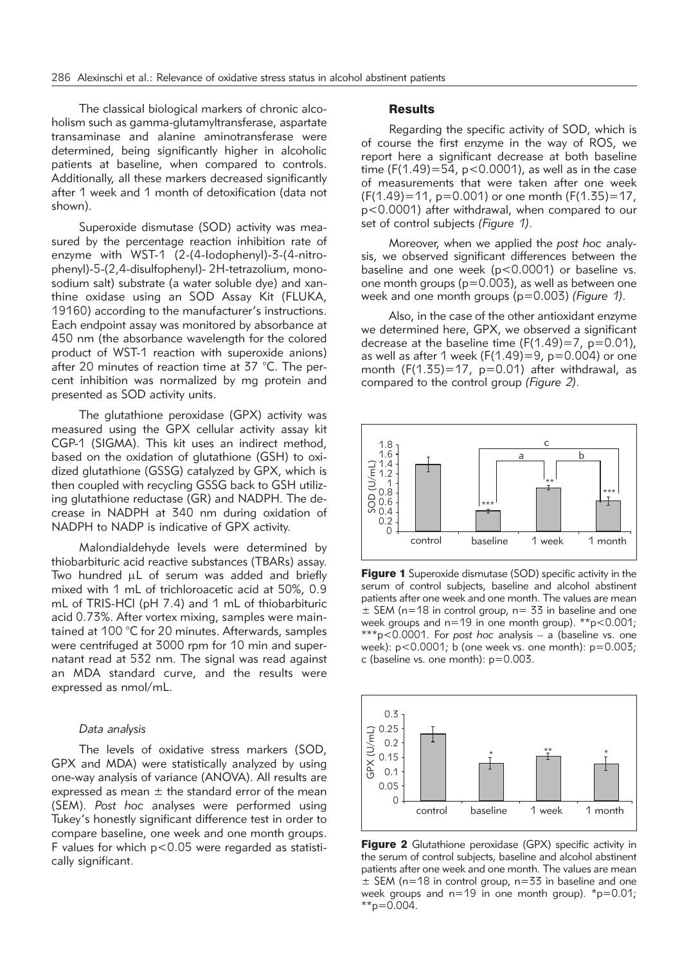The classical biological markers of chronic alcoholism such as gamma-glutamyltransferase, aspartate transaminase and alanine aminotransferase were determined, being significantly higher in alcoholic patients at baseline, when compared to controls. Additionally, all these markers decreased significantly after 1 week and 1 month of detoxification (data not shown).

Superoxide dismutase (SOD) activity was measured by the percentage reaction inhibition rate of enzyme with WST-1 (2-(4-Iodophenyl)-3-(4-nitrophenyl)-5-(2,4-disulfophenyl)- 2H-tetrazolium, monosodium salt) substrate (a water soluble dye) and xanthine oxidase using an SOD Assay Kit (FLUKA, 19160) according to the manufacturer's instructions. Each endpoint assay was monitored by absorbance at 450 nm (the absorbance wavelength for the colored product of WST-1 reaction with superoxide anions) after 20 minutes of reaction time at 37 °C. The percent inhibition was normalized by mg protein and presented as SOD activity units.

The glutathione peroxidase (GPX) activity was measured using the GPX cellular activity assay kit CGP-1 (SIGMA). This kit uses an indirect method, based on the oxidation of glutathione (GSH) to oxidized glutathione (GSSG) catalyzed by GPX, which is then coupled with recycling GSSG back to GSH utilizing glutathione reductase (GR) and NADPH. The decrease in NADPH at 340 nm during oxidation of NADPH to NADP is indicative of GPX activity.

Malondialdehyde levels were determined by thio barbituric acid reactive substances (TBARs) assay. Two hundred uL of serum was added and briefly mixed with 1 mL of trichloroacetic acid at 50%, 0.9 mL of TRIS-HCl (pH 7.4) and 1 mL of thiobarbituric acid 0.73%. After vortex mixing, samples were maintained at 100 °C for 20 minutes. Afterwards, samples were centrifuged at 3000 rpm for 10 min and supernatant read at 532 nm. The signal was read against an MDA standard curve, and the results were expressed as nmol/mL.

## *Data analysis*

The levels of oxidative stress markers (SOD, GPX and MDA) were statistically analyzed by using one-way analysis of variance (ANOVA). All results are expressed as mean  $\pm$  the standard error of the mean (SEM). *Post hoc* analyses were performed using Tukey's honestly significant difference test in order to compare baseline, one week and one month groups. F values for which p<0.05 were regarded as statistically significant.

#### **Results**

Regarding the specific activity of SOD, which is of course the first enzyme in the way of ROS, we report here a significant decrease at both baseline time (F(1.49)=54,  $p$ <0.0001), as well as in the case of measurements that were taken after one week  $(F(1.49)=11, p=0.001)$  or one month  $(F(1.35)=17, p=0.001)$ p<0.0001) after withdrawal, when compared to our set of control subjects *(Figure 1)*.

Moreover, when we applied the *post hoc* analysis, we observed significant differences between the baseline and one week (p<0.0001) or baseline vs. one month groups (p=0.003), as well as between one week and one month groups (p=0.003) *(Figure 1)*.

Also, in the case of the other antioxidant enzyme we determined here, GPX, we observed a significant decrease at the baseline time  $(F(1.49)=7, p=0.01)$ , as well as after 1 week ( $F(1.49)=9$ ,  $p=0.004$ ) or one month  $(F(1.35)=17, p=0.01)$  after withdrawal, as compared to the control group *(Figure 2)*.



Figure 1 Superoxide dismutase (SOD) specific activity in the serum of control subjects, baseline and alcohol abstinent patients after one week and one month. The values are mean  $\pm$  SEM (n=18 in control group, n= 33 in baseline and one week groups and  $n=19$  in one month group). \*\*p<0.001; \*\*\*p<0.0001. For *post hoc* analysis – a (baseline vs. one week): p<0.0001; b (one week vs. one month): p=0.003; c (baseline vs. one month): p=0.003.



**Figure 2** Glutathione peroxidase (GPX) specific activity in the serum of control subjects, baseline and alcohol abstinent patients after one week and one month. The values are mean  $\pm$  SEM (n=18 in control group, n=33 in baseline and one week groups and  $n=19$  in one month group).  $\text{*}p=0.01$ ;  $*_{p=0.004}$ .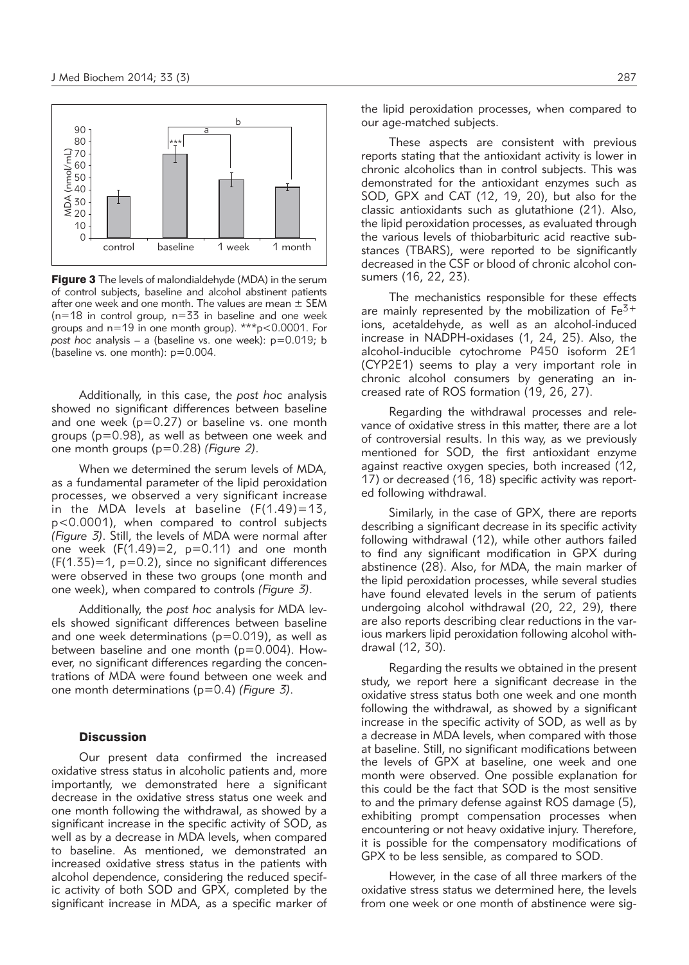

**Figure 3** The levels of malondialdehyde (MDA) in the serum of control subjects, baseline and alcohol abstinent patients after one week and one month. The values are mean  $\pm$  SEM  $(n=18$  in control group,  $n=33$  in baseline and one week groups and  $n=19$  in one month group). \*\*\*p<0.0001. For *post hoc* analysis – a (baseline vs. one week): p=0.019; b (baseline vs. one month): p=0.004.

Additionally, in this case, the *post hoc* analysis showed no significant differences between baseline and one week ( $p=0.27$ ) or baseline vs. one month groups (p=0.98), as well as between one week and one month groups (p=0.28) *(Figure 2)*.

When we determined the serum levels of MDA, as a fundamental parameter of the lipid peroxidation processes, we observed a very significant increase in the MDA levels at baseline  $(F(1.49)=13)$ , p<0.0001), when compared to control subjects *(Figure 3)*. Still, the levels of MDA were normal after one week  $(F(1.49)=2, p=0.11)$  and one month  $(F(1.35)=1, p=0.2)$ , since no significant differences were observed in these two groups (one month and one week), when compared to controls *(Figure 3)*.

Additionally, the *post hoc* analysis for MDA levels showed significant differences between baseline and one week determinations ( $p=0.019$ ), as well as between baseline and one month ( $p=0.004$ ). However, no significant differences regarding the concentrations of MDA were found between one week and one month determinations (p=0.4) *(Figure 3)*.

#### **Discussion**

Our present data confirmed the increased oxidative stress status in alcoholic patients and, more importantly, we demonstrated here a significant decrease in the oxidative stress status one week and one month following the withdrawal, as showed by a significant increase in the specific activity of SOD, as well as by a decrease in MDA levels, when compared to baseline. As mentioned, we demonstrated an increased oxidative stress status in the patients with alcohol dependence, considering the reduced specific activity of both SOD and GPX, completed by the significant increase in MDA, as a specific marker of the lipid peroxidation processes, when compared to our age-matched subjects.

These aspects are consistent with previous reports stating that the antioxidant activity is lower in chronic alcoholics than in control subjects. This was demonstrated for the antioxidant enzymes such as SOD, GPX and CAT (12, 19, 20), but also for the classic antioxidants such as glutathione (21). Also, the lipid peroxidation processes, as evaluated through the various levels of thiobarbituric acid reactive substances (TBARS), were reported to be significantly decreased in the CSF or blood of chronic alcohol consumers (16, 22, 23).

The mechanistics responsible for these effects are mainly represented by the mobilization of  $Fe<sup>3+</sup>$ ions, acetaldehyde, as well as an alcohol-induced increase in NADPH-oxidases (1, 24, 25). Also, the alcohol-inducible cytochrome P450 isoform 2E1 (CYP2E1) seems to play a very important role in chronic alcohol consumers by generating an increased rate of ROS formation (19, 26, 27).

Regarding the withdrawal processes and relevance of oxidative stress in this matter, there are a lot of controversial results. In this way, as we previously mentioned for SOD, the first antioxidant enzyme against reactive oxygen species, both increased (12, 17) or decreased (16, 18) specific activity was reported following withdrawal.

Similarly, in the case of GPX, there are reports describing a significant decrease in its specific activity following withdrawal (12), while other authors failed to find any significant modification in GPX during abstinence (28). Also, for MDA, the main marker of the lipid peroxidation processes, while several studies have found elevated levels in the serum of patients undergoing alcohol withdrawal (20, 22, 29), there are also reports describing clear reductions in the various markers lipid peroxidation following alcohol withdrawal (12, 30).

Regarding the results we obtained in the present study, we report here a significant decrease in the oxidative stress status both one week and one month following the withdrawal, as showed by a significant increase in the specific activity of SOD, as well as by a decrease in MDA levels, when compared with those at baseline. Still, no significant modifications between the levels of GPX at baseline, one week and one month were observed. One possible explanation for this could be the fact that SOD is the most sensitive to and the primary defense against ROS damage (5), exhibiting prompt compensation processes when encountering or not heavy oxidative injury. Therefore, it is possible for the compensatory modifications of GPX to be less sensible, as compared to SOD.

However, in the case of all three markers of the oxidative stress status we determined here, the levels from one week or one month of abstinence were sig-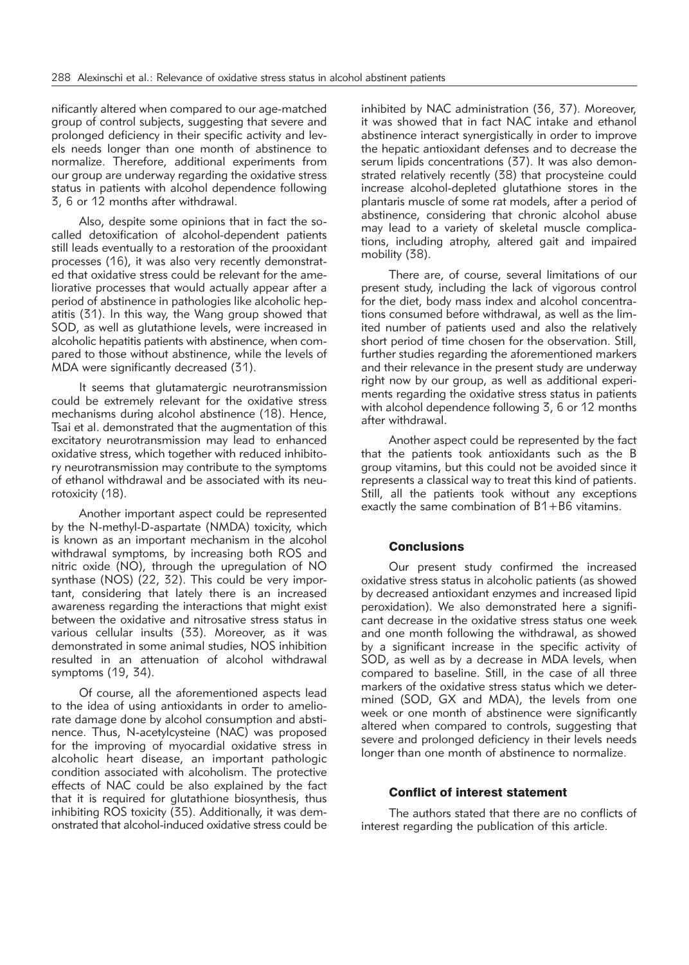nificantly altered when compared to our age-matched group of control subjects, suggesting that severe and prolonged deficiency in their specific activity and levels needs longer than one month of abstinence to normalize. Therefore, additional experiments from our group are underway regarding the oxidative stress status in patients with alcohol dependence following 3, 6 or 12 months after withdrawal.

Also, despite some opinions that in fact the socalled detoxification of alcohol-dependent patients still leads eventually to a restoration of the prooxidant processes (16), it was also very recently demonstrated that oxidative stress could be relevant for the ameliorative processes that would actually appear after a period of abstinence in pathologies like alcoholic hepatitis (31). In this way, the Wang group showed that SOD, as well as glutathione levels, were increased in alcoholic hepatitis patients with abstinence, when compared to those without abstinence, while the levels of MDA were significantly decreased (31).

It seems that glutamatergic neurotransmission could be extremely relevant for the oxidative stress mechanisms during alcohol abstinence (18). Hence, Tsai et al. demonstrated that the augmentation of this excitatory neurotransmission may lead to enhanced oxidative stress, which together with reduced inhibitory neurotransmission may contribute to the symptoms of ethanol withdrawal and be associated with its neurotoxicity (18).

Another important aspect could be represented by the N-methyl-D-aspartate (NMDA) toxicity, which is known as an important mechanism in the alcohol withdrawal symptoms, by increasing both ROS and nitric oxide (NO), through the upregulation of NO synthase (NOS) (22, 32). This could be very important, considering that lately there is an increased awareness regarding the interactions that might exist between the oxidative and nitrosative stress status in various cellular insults (33). Moreover, as it was demonstrated in some animal studies, NOS inhibition resulted in an attenuation of alcohol withdrawal symptoms (19, 34).

Of course, all the aforementioned aspects lead to the idea of using antioxidants in order to ameliorate damage done by alcohol consumption and abstinence. Thus, N-acetylcysteine (NAC) was proposed for the improving of myocardial oxidative stress in alcoholic heart disease, an important pathologic condition associated with alcoholism. The protective effects of NAC could be also explained by the fact that it is required for glutathione biosynthesis, thus inhibiting ROS toxicity (35). Additionally, it was demon strated that alcohol-induced oxidative stress could be inhibited by NAC administration (36, 37). Moreover, it was showed that in fact NAC intake and ethanol abstinence interact synergistically in order to improve the hepatic antioxidant defenses and to decrease the serum lipids concentrations (37). It was also demonstrated relatively recently (38) that procysteine could increase alcohol-depleted glutathione stores in the plantaris muscle of some rat models, after a period of abstinence, considering that chronic alcohol abuse may lead to a variety of skeletal muscle complications, including atrophy, altered gait and impaired mobility (38).

There are, of course, several limitations of our present study, including the lack of vigorous control for the diet, body mass index and alcohol concentrations consumed before withdrawal, as well as the limited number of patients used and also the relatively short period of time chosen for the observation. Still, further studies regarding the aforementioned markers and their relevance in the present study are underway right now by our group, as well as additional experiments regarding the oxidative stress status in patients with alcohol dependence following 3, 6 or 12 months after withdrawal.

Another aspect could be represented by the fact that the patients took antioxidants such as the B group vitamins, but this could not be avoided since it represents a classical way to treat this kind of patients. Still, all the patients took without any exceptions exactly the same combination of  $B1+B6$  vitamins.

# **Conclusions**

Our present study confirmed the increased oxidative stress status in alcoholic patients (as showed by decreased antioxidant enzymes and increased lipid peroxidation). We also demonstrated here a significant decrease in the oxidative stress status one week and one month following the withdrawal, as showed by a significant increase in the specific activity of SOD, as well as by a decrease in MDA levels, when compared to baseline. Still, in the case of all three markers of the oxidative stress status which we determined (SOD, GX and MDA), the levels from one week or one month of abstinence were significantly altered when compared to controls, suggesting that severe and prolonged deficiency in their levels needs longer than one month of abstinence to normalize.

# Conflict of interest statement

The authors stated that there are no conflicts of interest regarding the publication of this article.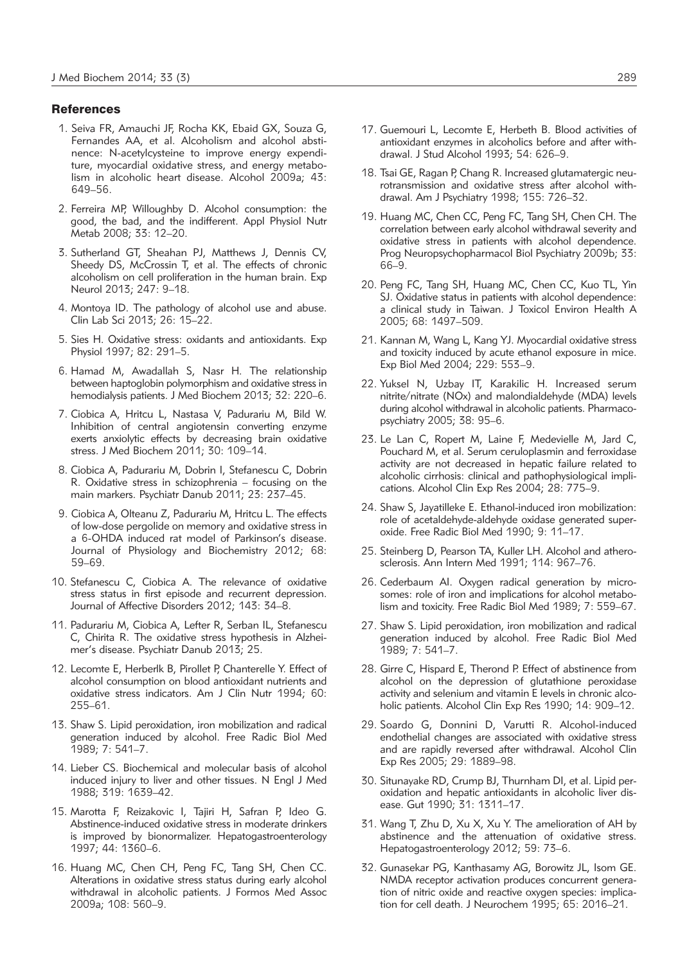#### **References**

- 1. Seiva FR, Amauchi JF, Rocha KK, Ebaid GX, Souza G, Fernandes AA, et al. Alcoholism and alcohol abstinence: N-acetylcysteine to improve energy expenditure, myocardial oxidative stress, and energy metabolism in alcoholic heart disease. Alcohol 2009a; 43: 649–56.
- 2. Ferreira MP, Willoughby D. Alcohol consumption: the good, the bad, and the indifferent. Appl Physiol Nutr Metab 2008; 33: 12–20.
- 3. Sutherland GT, Sheahan PJ, Matthews J, Dennis CV, Sheedy DS, McCrossin T, et al. The effects of chronic alcoholism on cell proliferation in the human brain. Exp Neurol 2013; 247: 9–18.
- 4. Montoya ID. The pathology of alcohol use and abuse. Clin Lab Sci 2013; 26: 15–22.
- 5. Sies H. Oxidative stress: oxidants and antioxidants. Exp Physiol 1997; 82: 291–5.
- 6. Hamad M, Awadallah S, Nasr H. The relationship between haptoglobin polymorphism and oxidative stress in hemodialysis patients. J Med Biochem 2013; 32: 220–6.
- 7. Ciobica A, Hritcu L, Nastasa V, Padurariu M, Bild W. Inhibition of central angiotensin converting enzyme exerts anxiolytic effects by decreasing brain oxidative stress. J Med Biochem 2011; 30: 109–14.
- 8. Ciobica A, Padurariu M, Dobrin I, Stefanescu C, Dobrin R. Oxidative stress in schizophrenia – focusing on the main markers. Psychiatr Danub 2011; 23: 237–45.
- 9. Ciobica A, Olteanu Z, Padurariu M, Hritcu L. The effects of low-dose pergolide on memory and oxidative stress in a 6-OHDA induced rat model of Parkinson's disease. Journal of Physiology and Biochemistry 2012; 68: 59–69.
- 10. Stefanescu C, Ciobica A. The relevance of oxidative stress status in first episode and recurrent depression. Journal of Affective Disorders 2012; 143: 34–8.
- 11. Padurariu M, Ciobica A, Lefter R, Serban IL, Stefanescu C, Chirita R. The oxidative stress hypothesis in Alzheimer's disease. Psychiatr Danub 2013; 25.
- 12. Lecomte E, Herberlk B, Pirollet P, Chanterelle Y. Effect of alcohol consumption on blood antioxidant nutrients and oxidative stress indicators. Am J Clin Nutr 1994; 60: 255–61.
- 13. Shaw S. Lipid peroxidation, iron mobilization and radical generation induced by alcohol. Free Radic Biol Med 1989; 7: 541–7.
- 14. Lieber CS. Biochemical and molecular basis of alcohol induced injury to liver and other tissues. N Engl J Med 1988; 319: 1639–42.
- 15. Marotta F, Reizakovic I, Tajiri H, Safran P, Ideo G. Abstinence-induced oxidative stress in moderate drinkers is improved by bionormalizer. Hepatogastroenterology 1997; 44: 1360–6.
- 16. Huang MC, Chen CH, Peng FC, Tang SH, Chen CC. Alterations in oxidative stress status during early alcohol withdrawal in alcoholic patients. J Formos Med Assoc 2009a; 108: 560–9.
- 17. Guemouri L, Lecomte E, Herbeth B. Blood activities of antioxidant enzymes in alcoholics before and after withdrawal. J Stud Alcohol 1993; 54: 626–9.
- 18. Tsai GE, Ragan P, Chang R. Increased glutamatergic neurotransmission and oxidative stress after alcohol withdrawal. Am J Psychiatry 1998; 155: 726–32.
- 19. Huang MC, Chen CC, Peng FC, Tang SH, Chen CH. The correlation between early alcohol withdrawal severity and oxidative stress in patients with alcohol dependence. Prog Neuropsychopharmacol Biol Psychiatry 2009b; 33: 66–9.
- 20. Peng FC, Tang SH, Huang MC, Chen CC, Kuo TL, Yin SJ. Oxidative status in patients with alcohol dependence: a clinical study in Taiwan. J Toxicol Environ Health A 2005; 68: 1497–509.
- 21. Kannan M, Wang L, Kang YJ. Myocardial oxidative stress and toxicity induced by acute ethanol exposure in mice. Exp Biol Med 2004; 229: 553–9.
- 22. Yuksel N, Uzbay IT, Karakilic H. Increased serum nitrite/nitrate (NOx) and malondialdehyde (MDA) levels during alcohol withdrawal in alcoholic patients. Pharmacopsychiatry 2005; 38: 95–6.
- 23. Le Lan C, Ropert M, Laine F, Medevielle M, Jard C, Pouchard M, et al. Serum ceruloplasmin and ferroxidase activity are not decreased in hepatic failure related to alcoholic cirrhosis: clinical and pathophysiological implications. Alcohol Clin Exp Res 2004; 28: 775–9.
- 24. Shaw S, Jayatilleke E. Ethanol-induced iron mobilization: role of acetaldehyde-aldehyde oxidase generated superoxide. Free Radic Biol Med 1990; 9: 11–17.
- 25. Steinberg D, Pearson TA, Kuller LH. Alcohol and atherosclerosis. Ann Intern Med 1991; 114: 967–76.
- 26. Cederbaum AI. Oxygen radical generation by microsomes: role of iron and implications for alcohol metabolism and toxicity. Free Radic Biol Med 1989; 7: 559–67.
- 27. Shaw S. Lipid peroxidation, iron mobilization and radical generation induced by alcohol. Free Radic Biol Med 1989; 7: 541–7.
- 28. Girre C, Hispard E, Therond P. Effect of abstinence from alcohol on the depression of glutathione peroxidase activity and selenium and vitamin E levels in chronic alcoholic patients. Alcohol Clin Exp Res 1990; 14: 909–12.
- 29. Soardo G, Donnini D, Varutti R. Alcohol-induced endothelial changes are associated with oxidative stress and are rapidly reversed after withdrawal. Alcohol Clin Exp Res 2005; 29: 1889–98.
- 30. Situnayake RD, Crump BJ, Thurnham DI, et al. Lipid peroxidation and hepatic antioxidants in alcoholic liver disease. Gut 1990; 31: 1311–17.
- 31. Wang T, Zhu D, Xu X, Xu Y. The amelioration of AH by abstinence and the attenuation of oxidative stress. Hepatogastroenterology 2012; 59: 73–6.
- 32. Gunasekar PG, Kanthasamy AG, Borowitz JL, Isom GE. NMDA receptor activation produces concurrent generation of nitric oxide and reactive oxygen species: implication for cell death. J Neurochem 1995; 65: 2016–21.